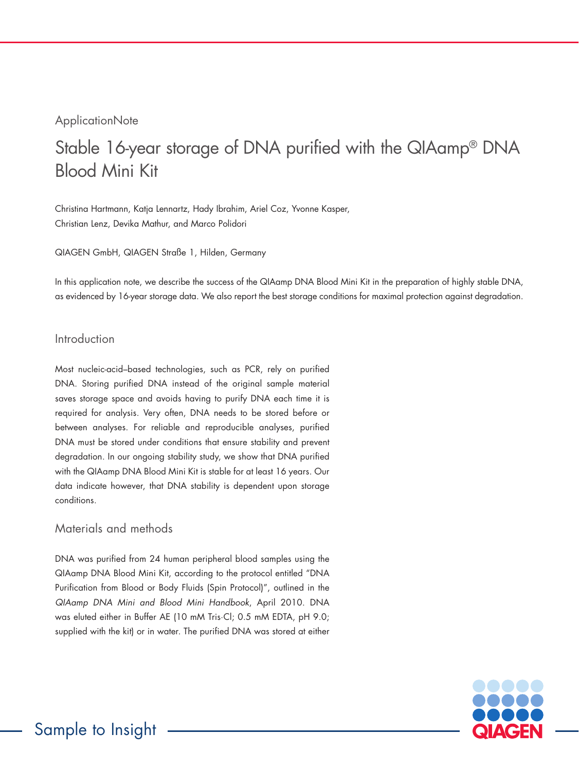### **ApplicationNote**

# Stable 16-year storage of DNA purified with the QIAamp® DNA Blood Mini Kit

Christina Hartmann, Katja Lennartz, Hady Ibrahim, Ariel Coz, Yvonne Kasper, Christian Lenz, Devika Mathur, and Marco Polidori

QIAGEN GmbH, QIAGEN Straße 1, Hilden, Germany

In this application note, we describe the success of the QIAamp DNA Blood Mini Kit in the preparation of highly stable DNA, as evidenced by 16-year storage data. We also report the best storage conditions for maximal protection against degradation.

#### Introduction

Most nucleic-acid–based technologies, such as PCR, rely on purified DNA. Storing purified DNA instead of the original sample material saves storage space and avoids having to purify DNA each time it is required for analysis. Very often, DNA needs to be stored before or between analyses. For reliable and reproducible analyses, purified DNA must be stored under conditions that ensure stability and prevent degradation. In our ongoing stability study, we show that DNA purified with the QIAamp DNA Blood Mini Kit is stable for at least 16 years. Our data indicate however, that DNA stability is dependent upon storage conditions.

#### Materials and methods

DNA was purified from 24 human peripheral blood samples using the QIAamp DNA Blood Mini Kit, according to the protocol entitled "DNA Purification from Blood or Body Fluids (Spin Protocol)", outlined in the *QIAamp DNA Mini and Blood Mini Handbook*, April 2010. DNA was eluted either in Buffer AE (10 mM Tris·Cl; 0.5 mM EDTA, pH 9.0; supplied with the kit) or in water. The purified DNA was stored at either

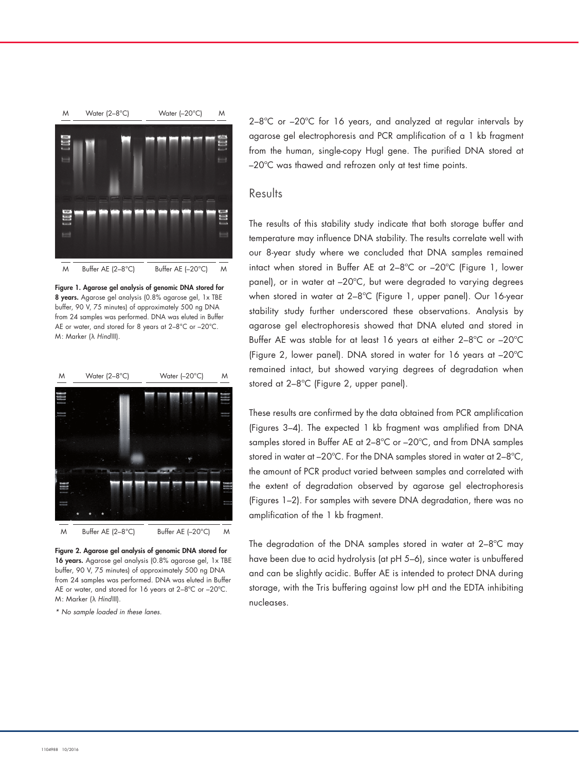

Figure 1. Agarose gel analysis of genomic DNA stored for 8 years. Agarose gel analysis (0.8% agarose gel, 1x TBE buffer, 90 V, 75 minutes) of approximately 500 ng DNA from 24 samples was performed. DNA was eluted in Buffer AE or water, and stored for 8 years at 2–8°C or –20°C. M: Marker (λ *Hind*III).



Figure 2. Agarose gel analysis of genomic DNA stored for 16 years. Agarose gel analysis (0.8% agarose gel, 1x TBE buffer, 90 V, 75 minutes) of approximately 500 ng DNA from 24 samples was performed. DNA was eluted in Buffer AE or water, and stored for 16 years at 2–8ºC or –20ºC. M: Marker (λ *Hind*III).

*\* No sample loaded in these lanes.*

2–8ºC or –20ºC for 16 years, and analyzed at regular intervals by agarose gel electrophoresis and PCR amplification of a 1 kb fragment from the human, single-copy Hugl gene. The purified DNA stored at –20ºC was thawed and refrozen only at test time points.

#### Results

The results of this stability study indicate that both storage buffer and temperature may influence DNA stability. The results correlate well with our 8-year study where we concluded that DNA samples remained intact when stored in Buffer AE at 2–8ºC or –20ºC (Figure 1, lower panel), or in water at –20ºC, but were degraded to varying degrees when stored in water at 2–8ºC (Figure 1, upper panel). Our 16-year stability study further underscored these observations. Analysis by agarose gel electrophoresis showed that DNA eluted and stored in Buffer AE was stable for at least 16 years at either 2–8ºC or –20ºC (Figure 2, lower panel). DNA stored in water for 16 years at –20ºC remained intact, but showed varying degrees of degradation when stored at 2–8ºC (Figure 2, upper panel).

These results are confirmed by the data obtained from PCR amplification (Figures 3–4). The expected 1 kb fragment was amplified from DNA samples stored in Buffer AE at 2–8ºC or –20ºC, and from DNA samples stored in water at –20ºC. For the DNA samples stored in water at 2–8ºC, the amount of PCR product varied between samples and correlated with the extent of degradation observed by agarose gel electrophoresis (Figures 1–2). For samples with severe DNA degradation, there was no amplification of the 1 kb fragment.

The degradation of the DNA samples stored in water at 2–8ºC may have been due to acid hydrolysis (at pH 5–6), since water is unbuffered and can be slightly acidic. Buffer AE is intended to protect DNA during storage, with the Tris buffering against low pH and the EDTA inhibiting nucleases.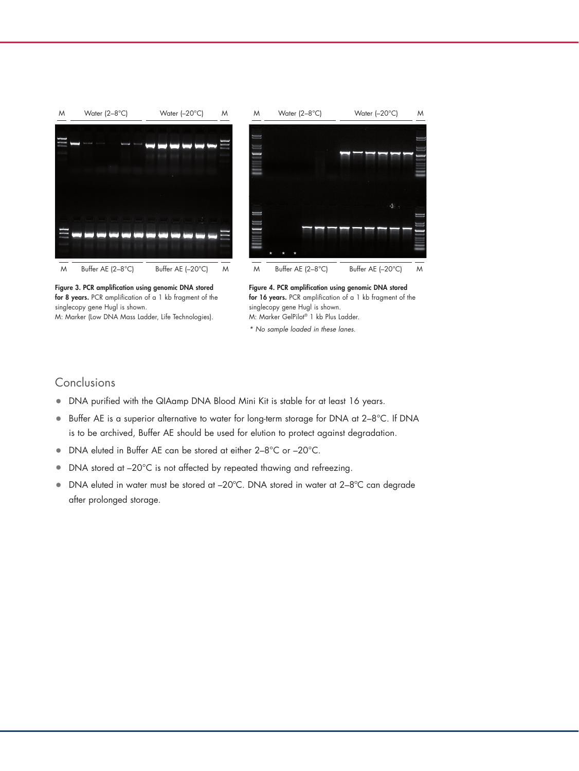

Figure 3. PCR amplification using genomic DNA stored for 8 years. PCR amplification of a 1 kb fragment of the singlecopy gene Hugl is shown. M: Marker (Low DNA Mass Ladder, Life Technologies).



*\* No sample loaded in these lanes.*

#### Conclusions

- DNA purified with the QIAamp DNA Blood Mini Kit is stable for at least 16 years.
- Buffer AE is a superior alternative to water for long-term storage for DNA at 2–8°C. If DNA is to be archived, Buffer AE should be used for elution to protect against degradation.
- DNA eluted in Buffer AE can be stored at either 2–8°C or –20°C.
- DNA stored at -20°C is not affected by repeated thawing and refreezing.
- DNA eluted in water must be stored at –20ºC. DNA stored in water at 2–8ºC can degrade after prolonged storage.